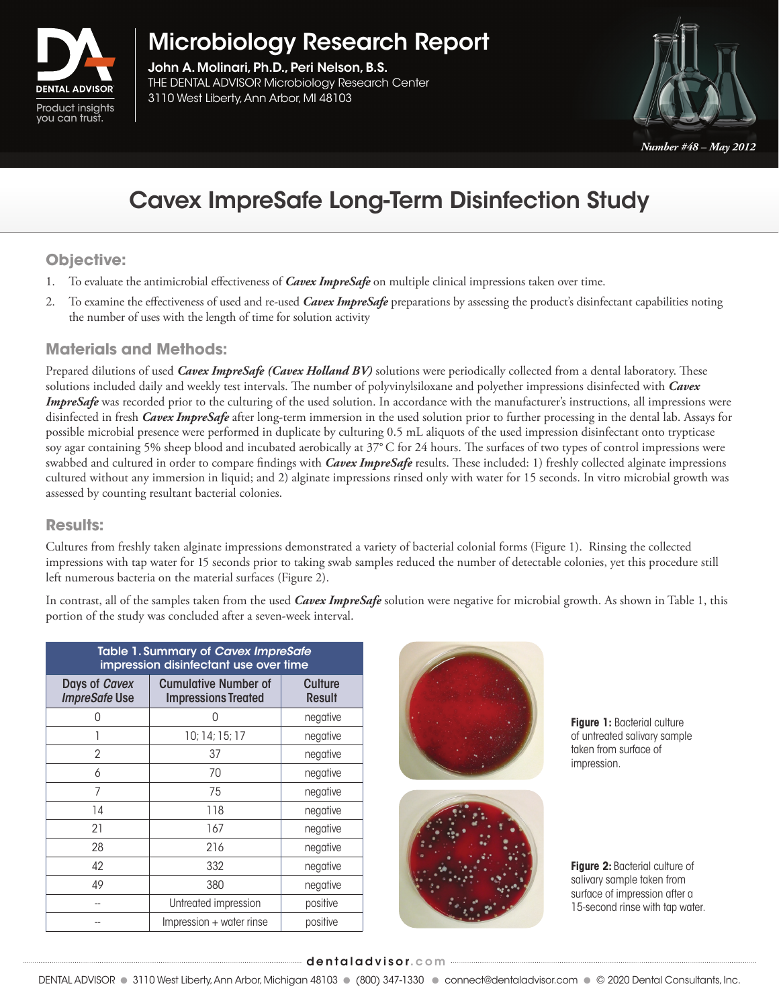

Microbiology Research Report

John A. Molinari, Ph.D., Peri Nelson, B.S. THE DENTAL ADVISOR Microbiology Research Center **Express Liberty, Ann Arbor, MI 48103**<br>Product insights **Product** 



*Number #48 – May 2012*

# Cavex ImpreSafe Long-Term Disinfection Study

## **Objective:**

- 1. To evaluate the antimicrobial effectiveness of *Cavex ImpreSafe* on multiple clinical impressions taken over time.
- 2. To examine the effectiveness of used and re-used *Cavex ImpreSafe* preparations by assessing the product's disinfectant capabilities noting the number of uses with the length of time for solution activity

### **Materials and Methods:**

Prepared dilutions of used *Cavex ImpreSafe (Cavex Holland BV)* solutions were periodically collected from a dental laboratory. These solutions included daily and weekly test intervals. The number of polyvinylsiloxane and polyether impressions disinfected with *Cavex ImpreSafe* was recorded prior to the culturing of the used solution. In accordance with the manufacturer's instructions, all impressions were disinfected in fresh *Cavex ImpreSafe* after long-term immersion in the used solution prior to further processing in the dental lab. Assays for possible microbial presence were performed in duplicate by culturing 0.5 mL aliquots of the used impression disinfectant onto trypticase soy agar containing 5% sheep blood and incubated aerobically at 37° C for 24 hours. The surfaces of two types of control impressions were swabbed and cultured in order to compare findings with *Cavex ImpreSafe* results. These included: 1) freshly collected alginate impressions cultured without any immersion in liquid; and 2) alginate impressions rinsed only with water for 15 seconds. In vitro microbial growth was assessed by counting resultant bacterial colonies.

### **Results:**

Cultures from freshly taken alginate impressions demonstrated a variety of bacterial colonial forms (Figure 1). Rinsing the collected impressions with tap water for 15 seconds prior to taking swab samples reduced the number of detectable colonies, yet this procedure still left numerous bacteria on the material surfaces (Figure 2).

In contrast, all of the samples taken from the used *Cavex ImpreSafe* solution were negative for microbial growth. As shown in Table 1, this portion of the study was concluded after a seven-week interval.

| Table 1. Summary of Cavex ImpreSafe<br>impression disinfectant use over time |                                                           |                          |
|------------------------------------------------------------------------------|-----------------------------------------------------------|--------------------------|
| Days of Cavex<br><b>ImpreSafe Use</b>                                        | <b>Cumulative Number of</b><br><b>Impressions Treated</b> | Culture<br><b>Result</b> |
| ∩                                                                            | Λ                                                         | negative                 |
|                                                                              | 10; 14; 15; 17                                            | negative                 |
| 2                                                                            | 37                                                        | negative                 |
| 6                                                                            | 70                                                        | negative                 |
| 7                                                                            | 75                                                        | negative                 |
| 14                                                                           | 118                                                       | negative                 |
| 21                                                                           | 167                                                       | negative                 |
| 28                                                                           | 216                                                       | negative                 |
| 42                                                                           | 332                                                       | negative                 |
| 49                                                                           | 380                                                       | negative                 |
|                                                                              | Untreated impression                                      | positive                 |
|                                                                              | Impression + water rinse                                  | positive                 |





**Figure 1: Bacterial culture** of untreated salivary sample taken from surface of impression.

**Figure 2: Bacterial culture of** salivary sample taken from surface of impression after a 15-second rinse with tap water.

#### dentaladvisor.com